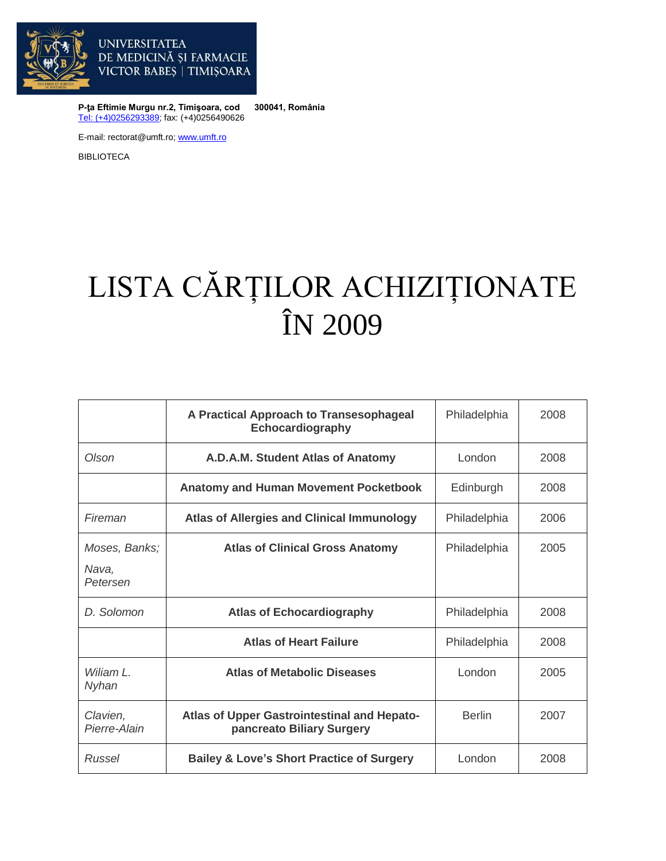

**P-ţa Eftimie Murgu nr.2, Timişoara, cod 300041, România** [Tel: \(+4\)0256293389;](tel:(40)0256293389) fax: (+4)0256490626

E-mail: rectorat@umft.ro[; www.umft.ro](http://www.umft.ro/)

BIBLIOTECA

## LISTA CĂRȚILOR ACHIZIȚIONATE ÎN 2009

|                                    | A Practical Approach to Transesophageal<br>Echocardiography              | Philadelphia  | 2008 |
|------------------------------------|--------------------------------------------------------------------------|---------------|------|
| Olson                              | A.D.A.M. Student Atlas of Anatomy                                        | London        | 2008 |
|                                    | <b>Anatomy and Human Movement Pocketbook</b>                             | Edinburgh     | 2008 |
| Fireman                            | <b>Atlas of Allergies and Clinical Immunology</b>                        | Philadelphia  | 2006 |
| Moses, Banks;<br>Nava,<br>Petersen | <b>Atlas of Clinical Gross Anatomy</b>                                   | Philadelphia  | 2005 |
| D. Solomon                         | <b>Atlas of Echocardiography</b>                                         | Philadelphia  | 2008 |
|                                    | <b>Atlas of Heart Failure</b>                                            | Philadelphia  | 2008 |
| Wiliam L.<br>Nyhan                 | <b>Atlas of Metabolic Diseases</b>                                       | London        | 2005 |
| Clavien,<br>Pierre-Alain           | Atlas of Upper Gastrointestinal and Hepato-<br>pancreato Biliary Surgery | <b>Berlin</b> | 2007 |
| Russel                             | <b>Bailey &amp; Love's Short Practice of Surgery</b>                     | London        | 2008 |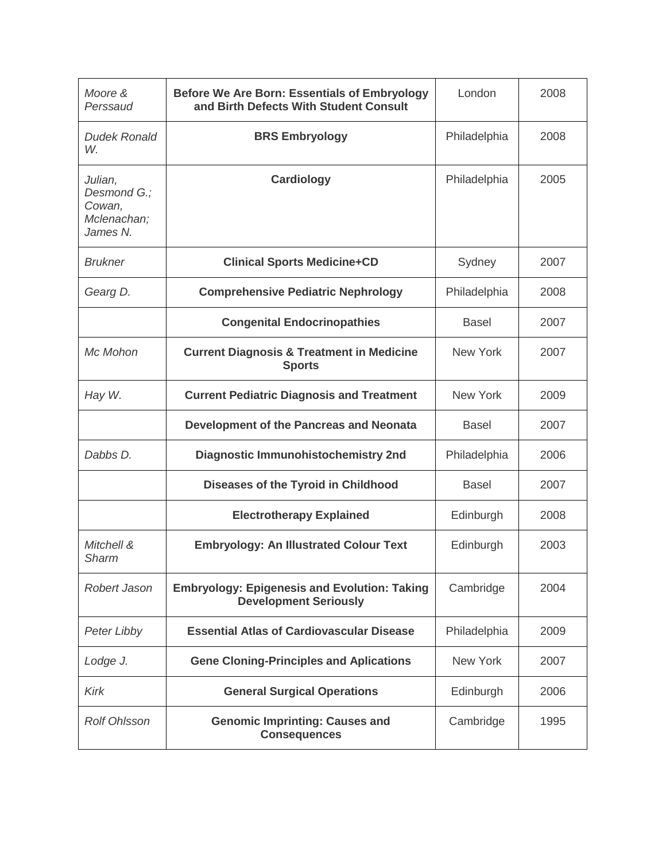| Moore &<br>Perssaud                                         | <b>Before We Are Born: Essentials of Embryology</b><br>and Birth Defects With Student Consult | London          | 2008 |
|-------------------------------------------------------------|-----------------------------------------------------------------------------------------------|-----------------|------|
| <b>Dudek Ronald</b><br>W.                                   | <b>BRS Embryology</b>                                                                         | Philadelphia    | 2008 |
| Julian,<br>Desmond G.:<br>Cowan,<br>Mclenachan;<br>James N. | Cardiology                                                                                    | Philadelphia    | 2005 |
| <b>Brukner</b>                                              | <b>Clinical Sports Medicine+CD</b>                                                            | Sydney          | 2007 |
| Gearg D.                                                    | <b>Comprehensive Pediatric Nephrology</b>                                                     | Philadelphia    | 2008 |
|                                                             | <b>Congenital Endocrinopathies</b>                                                            | <b>Basel</b>    | 2007 |
| Mc Mohon                                                    | <b>Current Diagnosis &amp; Treatment in Medicine</b><br><b>Sports</b>                         | <b>New York</b> | 2007 |
| Hay W.                                                      | <b>Current Pediatric Diagnosis and Treatment</b>                                              | <b>New York</b> | 2009 |
|                                                             | Development of the Pancreas and Neonata                                                       | <b>Basel</b>    | 2007 |
| Dabbs D.                                                    | <b>Diagnostic Immunohistochemistry 2nd</b>                                                    | Philadelphia    | 2006 |
|                                                             | Diseases of the Tyroid in Childhood                                                           | <b>Basel</b>    | 2007 |
|                                                             | <b>Electrotherapy Explained</b>                                                               | Edinburgh       | 2008 |
| Mitchell &<br><b>Sharm</b>                                  | <b>Embryology: An Illustrated Colour Text</b>                                                 | Edinburgh       | 2003 |
| Robert Jason                                                | <b>Embryology: Epigenesis and Evolution: Taking</b><br><b>Development Seriously</b>           | Cambridge       | 2004 |
| Peter Libby                                                 | <b>Essential Atlas of Cardiovascular Disease</b>                                              | Philadelphia    | 2009 |
| Lodge J.                                                    | <b>Gene Cloning-Principles and Aplications</b>                                                | <b>New York</b> | 2007 |
| Kirk                                                        | <b>General Surgical Operations</b>                                                            | Edinburgh       | 2006 |
| <b>Rolf Ohlsson</b>                                         | <b>Genomic Imprinting: Causes and</b><br><b>Consequences</b>                                  | Cambridge       | 1995 |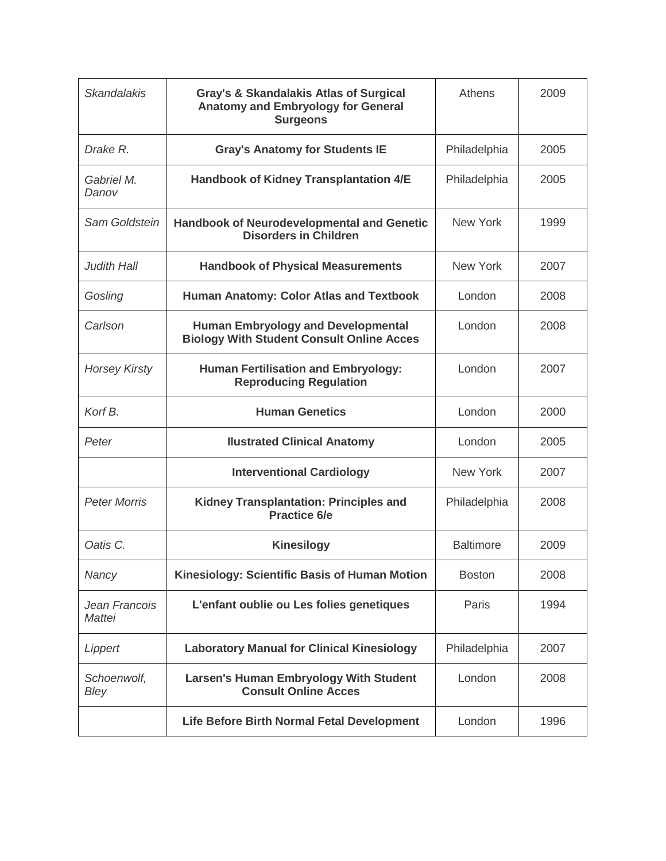| <b>Skandalakis</b>      | <b>Gray's &amp; Skandalakis Atlas of Surgical</b><br><b>Anatomy and Embryology for General</b><br><b>Surgeons</b> | Athens           | 2009 |
|-------------------------|-------------------------------------------------------------------------------------------------------------------|------------------|------|
| Drake R.                | <b>Gray's Anatomy for Students IE</b>                                                                             | Philadelphia     | 2005 |
| Gabriel M.<br>Danov     | <b>Handbook of Kidney Transplantation 4/E</b>                                                                     | Philadelphia     | 2005 |
| Sam Goldstein           | <b>Handbook of Neurodevelopmental and Genetic</b><br><b>Disorders in Children</b>                                 | <b>New York</b>  | 1999 |
| <b>Judith Hall</b>      | <b>Handbook of Physical Measurements</b>                                                                          | <b>New York</b>  | 2007 |
| Gosling                 | <b>Human Anatomy: Color Atlas and Textbook</b>                                                                    | London           | 2008 |
| Carlson                 | <b>Human Embryology and Developmental</b><br><b>Biology With Student Consult Online Acces</b>                     | London           | 2008 |
| <b>Horsey Kirsty</b>    | <b>Human Fertilisation and Embryology:</b><br><b>Reproducing Regulation</b>                                       | London           | 2007 |
| Korf B.                 | <b>Human Genetics</b>                                                                                             | London           | 2000 |
| Peter                   | <b>Ilustrated Clinical Anatomy</b>                                                                                | London           | 2005 |
|                         | <b>Interventional Cardiology</b>                                                                                  | <b>New York</b>  | 2007 |
| <b>Peter Morris</b>     | <b>Kidney Transplantation: Principles and</b><br><b>Practice 6/e</b>                                              | Philadelphia     | 2008 |
| Oatis C.                | <b>Kinesilogy</b>                                                                                                 | <b>Baltimore</b> | 2009 |
| Nancy                   | Kinesiology: Scientific Basis of Human Motion                                                                     | <b>Boston</b>    | 2008 |
| Jean Francois<br>Mattei | L'enfant oublie ou Les folies genetiques                                                                          | Paris            | 1994 |
| Lippert                 | <b>Laboratory Manual for Clinical Kinesiology</b>                                                                 | Philadelphia     | 2007 |
| Schoenwolf,<br>Bley     | <b>Larsen's Human Embryology With Student</b><br><b>Consult Online Acces</b>                                      | London           | 2008 |
|                         | <b>Life Before Birth Normal Fetal Development</b>                                                                 | London           | 1996 |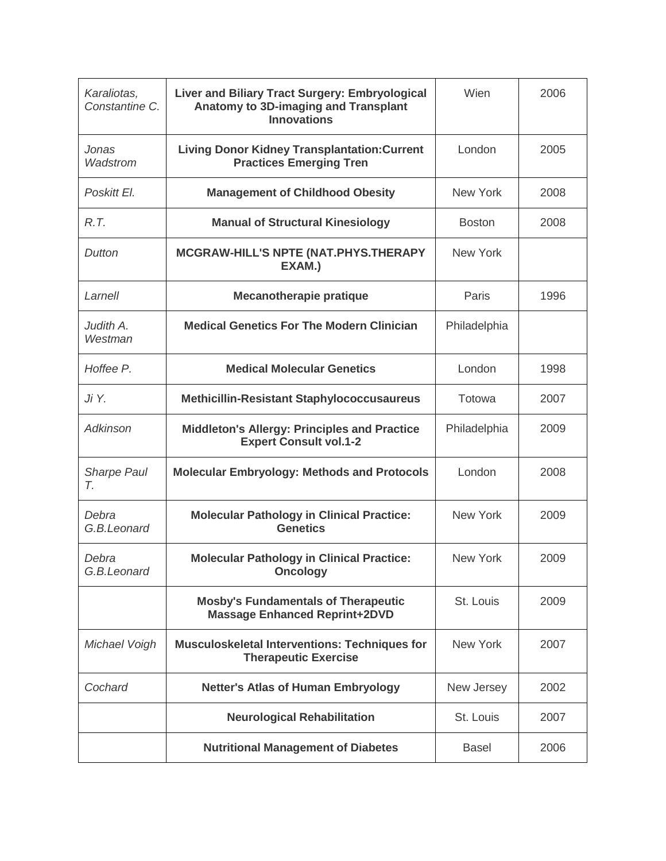| Karaliotas,<br>Constantine C. | Liver and Biliary Tract Surgery: Embryological<br>Anatomy to 3D-imaging and Transplant<br><b>Innovations</b> | Wien            | 2006 |
|-------------------------------|--------------------------------------------------------------------------------------------------------------|-----------------|------|
| Jonas<br>Wadstrom             | <b>Living Donor Kidney Transplantation: Current</b><br><b>Practices Emerging Tren</b>                        | London          | 2005 |
| Poskitt El.                   | <b>Management of Childhood Obesity</b>                                                                       | <b>New York</b> | 2008 |
| R.T.                          | <b>Manual of Structural Kinesiology</b>                                                                      | <b>Boston</b>   | 2008 |
| Dutton                        | MCGRAW-HILL'S NPTE (NAT.PHYS.THERAPY<br>EXAM.)                                                               | New York        |      |
| Larnell                       | <b>Mecanotherapie pratique</b>                                                                               | Paris           | 1996 |
| Judith A.<br>Westman          | <b>Medical Genetics For The Modern Clinician</b>                                                             | Philadelphia    |      |
| Hoffee P.                     | <b>Medical Molecular Genetics</b>                                                                            | London          | 1998 |
| Ji Y.                         | <b>Methicillin-Resistant Staphylococcusaureus</b>                                                            | Totowa          | 2007 |
| Adkinson                      | <b>Middleton's Allergy: Principles and Practice</b><br><b>Expert Consult vol.1-2</b>                         | Philadelphia    | 2009 |
| <b>Sharpe Paul</b><br>Τ.      | <b>Molecular Embryology: Methods and Protocols</b>                                                           | London          | 2008 |
| Debra<br>G.B.Leonard          | <b>Molecular Pathology in Clinical Practice:</b><br><b>Genetics</b>                                          | <b>New York</b> | 2009 |
| Debra<br>G.B.Leonard          | <b>Molecular Pathology in Clinical Practice:</b><br><b>Oncology</b>                                          | <b>New York</b> | 2009 |
|                               | <b>Mosby's Fundamentals of Therapeutic</b><br><b>Massage Enhanced Reprint+2DVD</b>                           | St. Louis       | 2009 |
| Michael Voigh                 | <b>Musculoskeletal Interventions: Techniques for</b><br><b>Therapeutic Exercise</b>                          | <b>New York</b> | 2007 |
| Cochard                       | <b>Netter's Atlas of Human Embryology</b>                                                                    | New Jersey      | 2002 |
|                               | <b>Neurological Rehabilitation</b>                                                                           | St. Louis       | 2007 |
|                               | <b>Nutritional Management of Diabetes</b>                                                                    | <b>Basel</b>    | 2006 |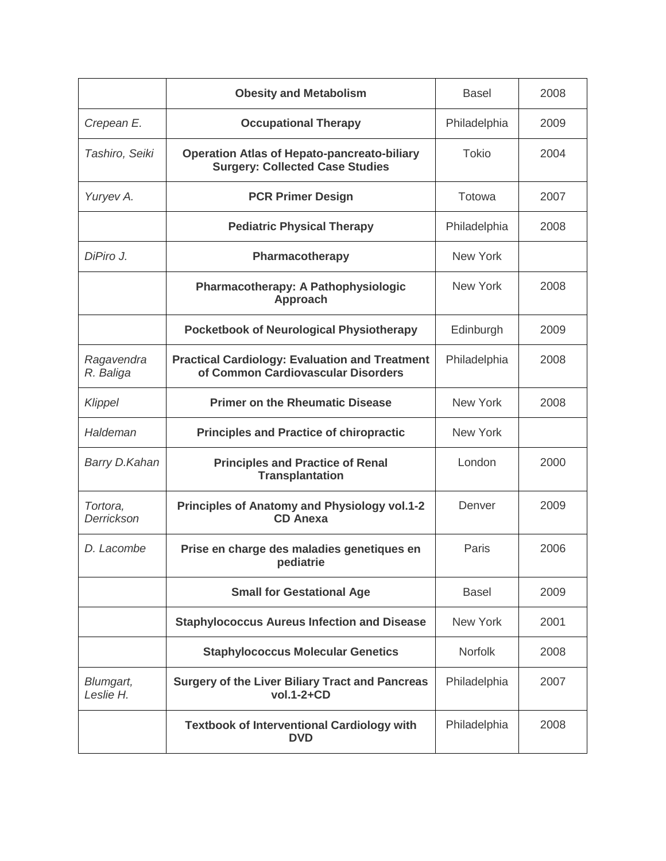|                         | <b>Obesity and Metabolism</b>                                                                | <b>Basel</b>    | 2008 |
|-------------------------|----------------------------------------------------------------------------------------------|-----------------|------|
| Crepean E.              | <b>Occupational Therapy</b>                                                                  | Philadelphia    | 2009 |
| Tashiro, Seiki          | <b>Operation Atlas of Hepato-pancreato-biliary</b><br><b>Surgery: Collected Case Studies</b> | <b>Tokio</b>    | 2004 |
| Yuryev A.               | <b>PCR Primer Design</b>                                                                     | Totowa          | 2007 |
|                         | <b>Pediatric Physical Therapy</b>                                                            | Philadelphia    | 2008 |
| DiPiro J.               | Pharmacotherapy                                                                              | New York        |      |
|                         | Pharmacotherapy: A Pathophysiologic<br><b>Approach</b>                                       | <b>New York</b> | 2008 |
|                         | <b>Pocketbook of Neurological Physiotherapy</b>                                              | Edinburgh       | 2009 |
| Ragavendra<br>R. Baliga | <b>Practical Cardiology: Evaluation and Treatment</b><br>of Common Cardiovascular Disorders  | Philadelphia    | 2008 |
| Klippel                 | <b>Primer on the Rheumatic Disease</b>                                                       | <b>New York</b> | 2008 |
| Haldeman                | <b>Principles and Practice of chiropractic</b>                                               | <b>New York</b> |      |
| Barry D.Kahan           | <b>Principles and Practice of Renal</b><br><b>Transplantation</b>                            | London          | 2000 |
| Tortora,<br>Derrickson  | <b>Principles of Anatomy and Physiology vol.1-2</b><br><b>CD Anexa</b>                       | Denver          | 2009 |
| D. Lacombe              | Prise en charge des maladies genetiques en<br>pediatrie                                      | Paris           | 2006 |
|                         | <b>Small for Gestational Age</b>                                                             | <b>Basel</b>    | 2009 |
|                         | <b>Staphylococcus Aureus Infection and Disease</b>                                           | New York        | 2001 |
|                         | <b>Staphylococcus Molecular Genetics</b>                                                     | Norfolk         | 2008 |
| Blumgart,<br>Leslie H.  | <b>Surgery of the Liver Biliary Tract and Pancreas</b><br>vol.1-2+CD                         | Philadelphia    | 2007 |
|                         | <b>Textbook of Interventional Cardiology with</b><br><b>DVD</b>                              | Philadelphia    | 2008 |